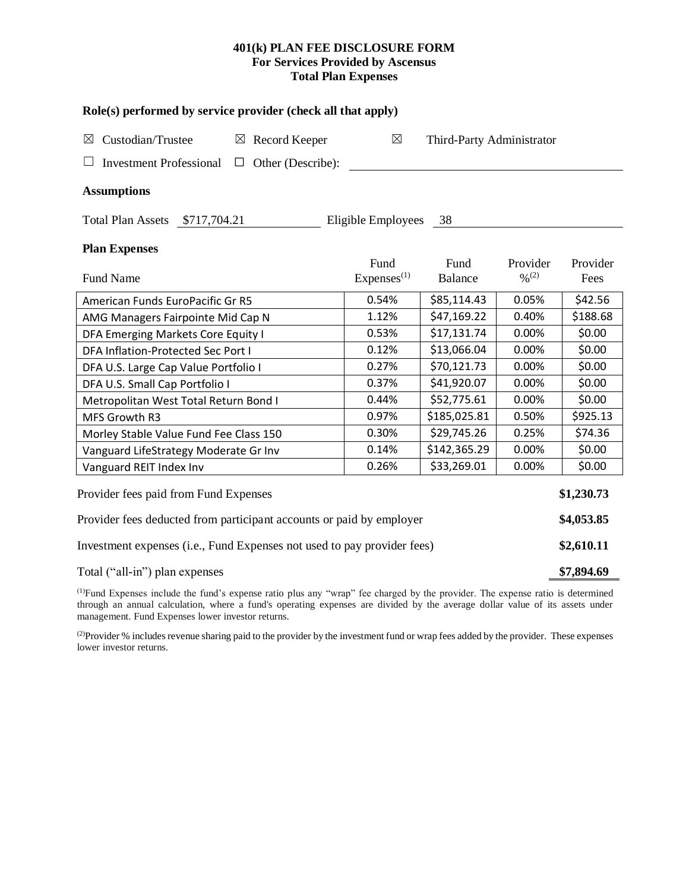## **401(k) PLAN FEE DISCLOSURE FORM For Services Provided by Ascensus Total Plan Expenses**

| Role(s) performed by service provider (check all that apply)            |                                |                           |                                          |                  |  |  |  |  |  |
|-------------------------------------------------------------------------|--------------------------------|---------------------------|------------------------------------------|------------------|--|--|--|--|--|
| Custodian/Trustee<br>$\boxtimes$ Record Keeper<br>$\boxtimes$           | $\boxtimes$                    | Third-Party Administrator |                                          |                  |  |  |  |  |  |
| Other (Describe):<br><b>Investment Professional</b><br>$\Box$           |                                |                           |                                          |                  |  |  |  |  |  |
| <b>Assumptions</b>                                                      |                                |                           |                                          |                  |  |  |  |  |  |
| <b>Total Plan Assets</b><br>\$717,704.21                                | Eligible Employees             | 38                        |                                          |                  |  |  |  |  |  |
| <b>Plan Expenses</b>                                                    |                                |                           |                                          |                  |  |  |  |  |  |
| <b>Fund Name</b>                                                        | Fund<br>Express <sup>(1)</sup> | Fund<br><b>Balance</b>    | Provider<br>$\frac{0}{2}$ <sup>(2)</sup> | Provider<br>Fees |  |  |  |  |  |
| American Funds EuroPacific Gr R5                                        | 0.54%                          | \$85,114.43               | 0.05%                                    | \$42.56          |  |  |  |  |  |
| AMG Managers Fairpointe Mid Cap N                                       | 1.12%                          | \$47,169.22               | 0.40%                                    | \$188.68         |  |  |  |  |  |
| DFA Emerging Markets Core Equity I                                      | 0.53%                          | \$17,131.74               | 0.00%                                    | \$0.00           |  |  |  |  |  |
| DFA Inflation-Protected Sec Port I                                      | 0.12%                          | \$13,066.04               | 0.00%                                    | \$0.00           |  |  |  |  |  |
| DFA U.S. Large Cap Value Portfolio I                                    | 0.27%                          | \$70,121.73               | 0.00%                                    | \$0.00           |  |  |  |  |  |
| DFA U.S. Small Cap Portfolio I                                          | 0.37%                          | \$41,920.07               | 0.00%                                    | \$0.00           |  |  |  |  |  |
| Metropolitan West Total Return Bond I                                   | 0.44%                          | \$52,775.61               | 0.00%                                    | \$0.00           |  |  |  |  |  |
| MFS Growth R3                                                           | 0.97%                          | \$185,025.81              | 0.50%                                    | \$925.13         |  |  |  |  |  |
| Morley Stable Value Fund Fee Class 150                                  | 0.30%                          | \$29,745.26               | 0.25%                                    | \$74.36          |  |  |  |  |  |
| Vanguard LifeStrategy Moderate Gr Inv                                   | 0.14%                          | \$142,365.29              | 0.00%                                    | \$0.00           |  |  |  |  |  |
| Vanguard REIT Index Inv                                                 | 0.26%                          | \$33,269.01               | 0.00%                                    | \$0.00           |  |  |  |  |  |
| Provider fees paid from Fund Expenses                                   |                                |                           |                                          |                  |  |  |  |  |  |
| Provider fees deducted from participant accounts or paid by employer    |                                |                           |                                          |                  |  |  |  |  |  |
| Investment expenses (i.e., Fund Expenses not used to pay provider fees) |                                |                           |                                          |                  |  |  |  |  |  |
| Total ("all-in") plan expenses                                          |                                |                           |                                          |                  |  |  |  |  |  |

(1)Fund Expenses include the fund's expense ratio plus any "wrap" fee charged by the provider. The expense ratio is determined through an annual calculation, where a fund's operating expenses are divided by the average dollar value of its assets under management. Fund Expenses lower investor returns.

(2) Provider % includes revenue sharing paid to the provider by the investment fund or wrap fees added by the provider. These expenses lower investor returns.